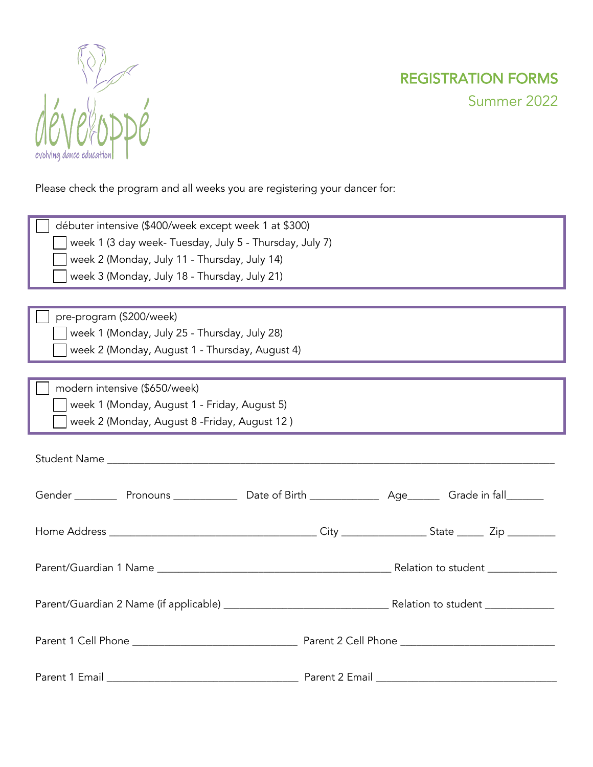

Please check the program and all weeks you are registering your dancer for:

| débuter intensive (\$400/week except week 1 at \$300)   |  |
|---------------------------------------------------------|--|
| week 1 (3 day week- Tuesday, July 5 - Thursday, July 7) |  |
| week 2 (Monday, July 11 - Thursday, July 14)            |  |
| week 3 (Monday, July 18 - Thursday, July 21)            |  |
|                                                         |  |
| pre-program (\$200/week)                                |  |
| week 1 (Monday, July 25 - Thursday, July 28)            |  |
| week 2 (Monday, August 1 - Thursday, August 4)          |  |
|                                                         |  |
| modern intensive (\$650/week)                           |  |
| week 1 (Monday, August 1 - Friday, August 5)            |  |
| week 2 (Monday, August 8 - Friday, August 12)           |  |
|                                                         |  |
|                                                         |  |
|                                                         |  |
|                                                         |  |
|                                                         |  |
|                                                         |  |
|                                                         |  |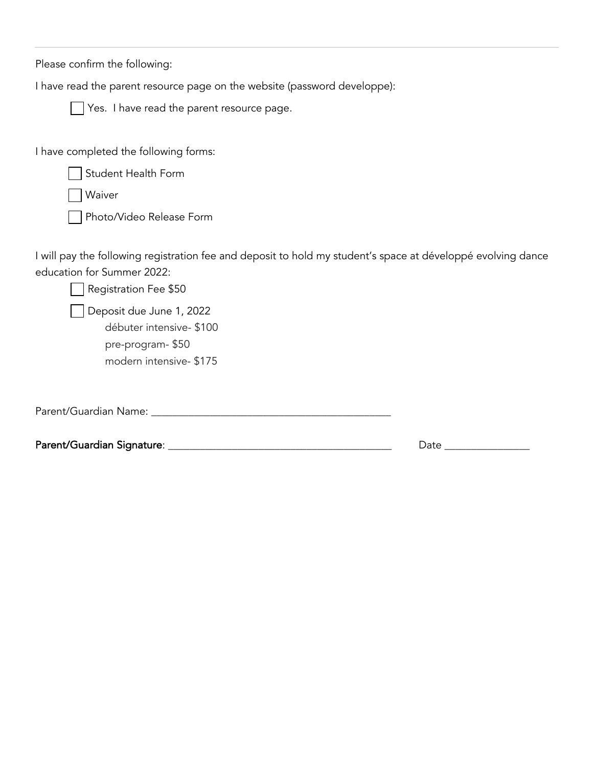Please confirm the following:

I have read the parent resource page on the website (password developpe):



Yes. I have read the parent resource page.

I have completed the following forms:

Student Health Form

Waiver

Photo/Video Release Form

I will pay the following registration fee and deposit to hold my student's space at développé evolving dance education for Summer 2022:

| Registration Fee \$50                                                                              |      |
|----------------------------------------------------------------------------------------------------|------|
| Deposit due June 1, 2022<br>débuter intensive- \$100<br>pre-program-\$50<br>modern intensive-\$175 |      |
| Parent/Guardian Name:                                                                              |      |
| Parent/Guardian Signature:                                                                         | Date |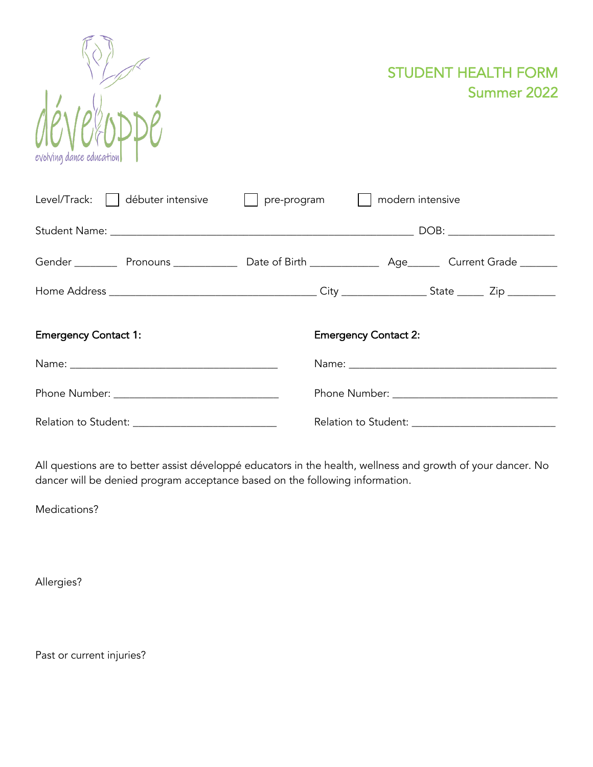

STUDENT HEALTH FORM Summer 2022

| Level/Track:     débuter intensive | modern intensive<br>$pre-program$ |
|------------------------------------|-----------------------------------|
|                                    |                                   |
|                                    |                                   |
|                                    |                                   |
| <b>Emergency Contact 1:</b>        | <b>Emergency Contact 2:</b>       |
|                                    |                                   |
|                                    |                                   |
|                                    |                                   |

All questions are to better assist développé educators in the health, wellness and growth of your dancer. No dancer will be denied program acceptance based on the following information.

Medications?

Allergies?

Past or current injuries?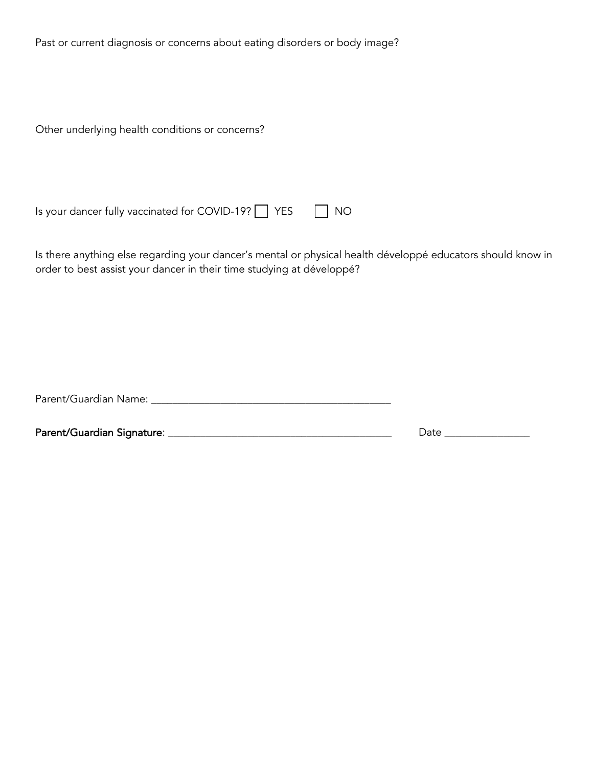Past or current diagnosis or concerns about eating disorders or body image?

Other underlying health conditions or concerns?

Is your dancer fully vaccinated for COVID-19?  $\Box$  YES  $\Box$  NO

Is there anything else regarding your dancer's mental or physical health développé educators should know in order to best assist your dancer in their time studying at développé?

Parent/Guardian Name: \_\_\_\_\_\_\_\_\_\_\_\_\_\_\_\_\_\_\_\_\_\_\_\_\_\_\_\_\_\_\_\_\_\_\_\_\_\_\_\_\_\_\_\_\_

Parent/Guardian Signature: \_\_\_\_\_\_\_\_\_\_\_\_\_\_\_\_\_\_\_\_\_\_\_\_\_\_\_\_\_\_\_\_\_\_\_\_\_\_\_\_\_\_ Date \_\_\_\_\_\_\_\_\_\_\_\_\_\_\_\_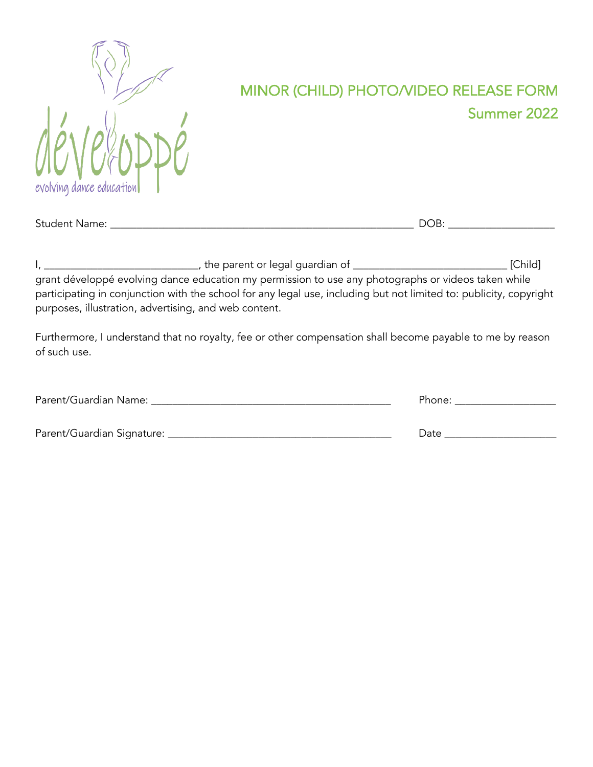

## MINOR (CHILD) PHOTO/VIDEO RELEASE FORM Summer 2022

| <b>Student Name:</b> | $\sim$ $\sim$<br>70<br>_ |  |
|----------------------|--------------------------|--|
|                      |                          |  |

I, \_\_\_\_\_\_\_\_\_\_\_\_\_\_\_\_\_\_\_\_\_\_\_\_\_\_\_\_\_, the parent or legal guardian of \_\_\_\_\_\_\_\_\_\_\_\_\_\_\_\_\_\_\_\_\_\_\_\_\_\_\_\_\_ [Child] grant développé evolving dance education my permission to use any photographs or videos taken while participating in conjunction with the school for any legal use, including but not limited to: publicity, copyright purposes, illustration, advertising, and web content.

Furthermore, I understand that no royalty, fee or other compensation shall become payable to me by reason of such use.

| Parent/Guardian Name:      | Phone: |
|----------------------------|--------|
|                            |        |
| Parent/Guardian Signature: | Date   |